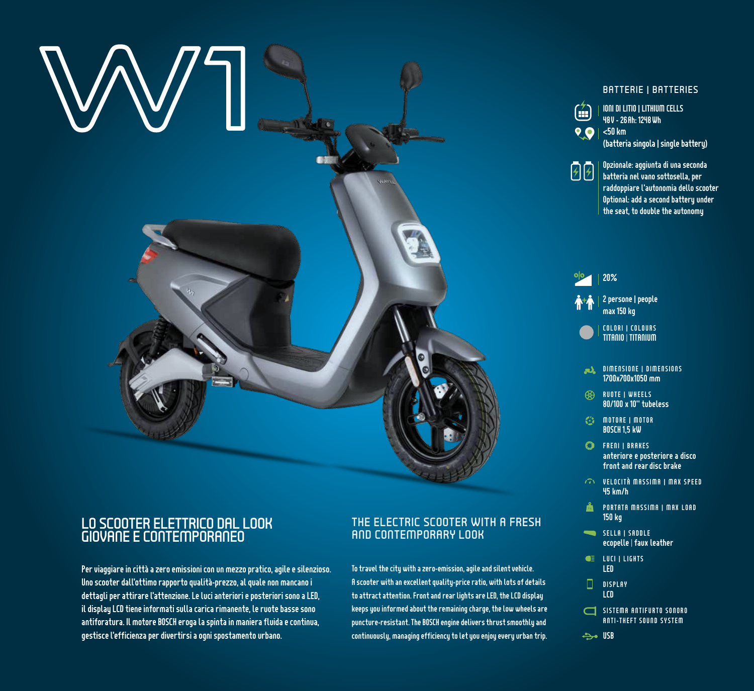

## LO SCOOTER ELETTRICO DAL LOOK GIOVANE E CONTEMPORANEO

Per viaggiare in città a zero emissioni con un mezzo pratico, agile e silenzioso. Uno scooter dall'ottimo rapporto qualità-prezzo, al quale non mancano i dettagli per attirare l'attenzione. Le luci anteriori e posteriori sono a LED, il display LCD tiene informati sulla carica rimanente, le ruote basse sono antiforatura. Il motore BOSCH eroga la spinta in maniera fluida e continua, gestisce l'efficienza per divertirsi a ogni spostamento urbano.

## THE ELECTRIC SCOOTER WITH A FRESH AND CONTEMPORARY LOOK

To travel the city with a zero-emission, agile and silent vehicle. A scooter with an excellent quality-price ratio, with lots of details to attract attention. Front and rear lights are LED, the LCD display keeps you informed about the remaining charge, the low wheels are puncture-resistant. The BOSCH engine delivers thrust smoothly and continuously, managing efficiency to let you enjoy every urban trip.

## BATTERIE | BATTERIES



IONI DI LITIO | LITHIUM CELLS 48V - 26Ah: 1248 Wh

(batteria singola | single battery)



Opzionale: aggiunta di una seconda batteria nel vano sottosella, per raddoppiare l'autonomia dello scooter Optional: add a second battery under the seat, to double the autonomy

+  $|o|$ 2 persone | people max 150 kg 20%

COLORI | COLOURS TITANIO | TITANIUM

- **DIMENSIONE | DIMENSIONS** 1700x700x1050 mm
- RUOTE | WHEELS 80/100 x 10" tubeless
- $G$  motore | motor BOSCH 1,5 kW
- **CD** FRENI I BRAKES anteriore e posteriore a disco front and rear disc brake
- VELOCITÀ MASSIMA | MAX SPEED 45 km/h
- **PORTATA MASSIMA I MAX LOAD** 150 kg
- SELLA | SADDLE ecopelle | faux leather
- **CE** LUCI I LIGHTS LED
- $\Box$ DISPLAY LCD
- SISTEMA ANTIFURTO SONORO ANTI-THEFT SOUND SYSTEM
- **USB**